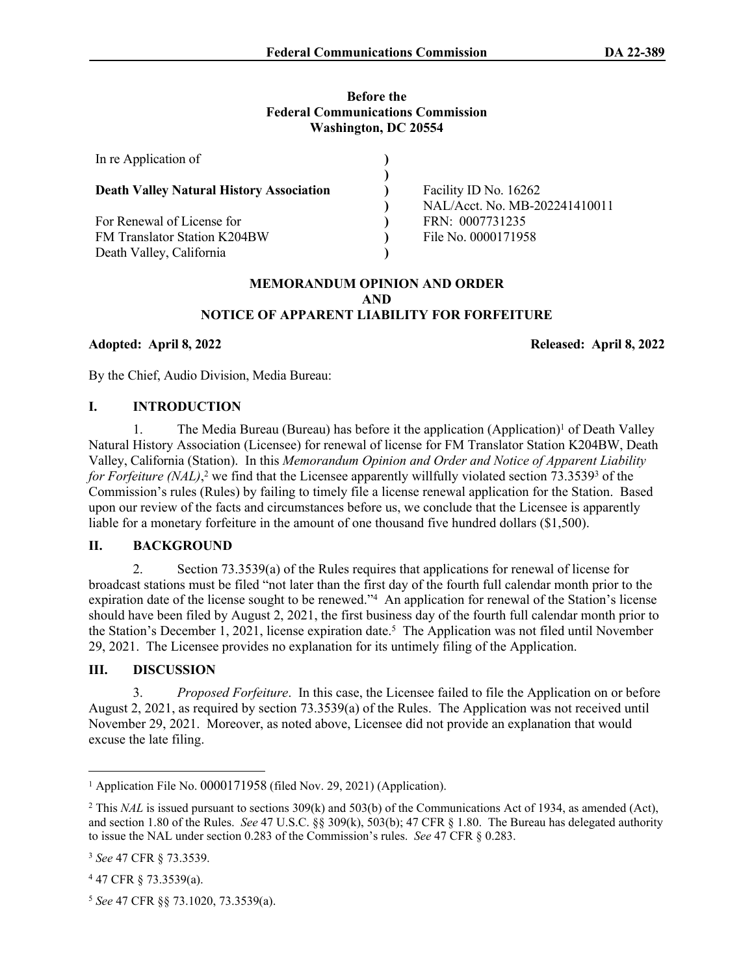#### **Before the Federal Communications Commission Washington, DC 20554**

| In re Application of                            |                               |
|-------------------------------------------------|-------------------------------|
|                                                 |                               |
| <b>Death Valley Natural History Association</b> | Facility ID No. 16262         |
|                                                 | NAL/Acct. No. MB-202241410011 |
| For Renewal of License for                      | FRN: 0007731235               |
| FM Translator Station K204BW                    | File No. 0000171958           |
| Death Valley, California                        |                               |

### **MEMORANDUM OPINION AND ORDER AND NOTICE OF APPARENT LIABILITY FOR FORFEITURE**

**Adopted: April 8, 2022 Released: April 8, 2022**

By the Chief, Audio Division, Media Bureau:

### **I. INTRODUCTION**

1. The Media Bureau (Bureau) has before it the application (Application)<sup>1</sup> of Death Valley Natural History Association (Licensee) for renewal of license for FM Translator Station K204BW, Death Valley, California (Station). In this *Memorandum Opinion and Order and Notice of Apparent Liability*  for Forfeiture (NAL),<sup>2</sup> we find that the Licensee apparently willfully violated section 73.3539<sup>3</sup> of the Commission's rules (Rules) by failing to timely file a license renewal application for the Station. Based upon our review of the facts and circumstances before us, we conclude that the Licensee is apparently liable for a monetary forfeiture in the amount of one thousand five hundred dollars (\$1,500).

### **II. BACKGROUND**

2. Section 73.3539(a) of the Rules requires that applications for renewal of license for broadcast stations must be filed "not later than the first day of the fourth full calendar month prior to the expiration date of the license sought to be renewed."<sup>4</sup> An application for renewal of the Station's license should have been filed by August 2, 2021, the first business day of the fourth full calendar month prior to the Station's December 1, 2021, license expiration date.<sup>5</sup> The Application was not filed until November 29, 2021. The Licensee provides no explanation for its untimely filing of the Application.

# **III. DISCUSSION**

3. *Proposed Forfeiture*. In this case, the Licensee failed to file the Application on or before August 2, 2021, as required by section 73.3539(a) of the Rules. The Application was not received until November 29, 2021. Moreover, as noted above, Licensee did not provide an explanation that would excuse the late filing.

<sup>&</sup>lt;sup>1</sup> Application File No. [0000171958](https://enterpriseefiling.fcc.gov/dataentry/public/tv/draftCopy.html?displayType=html&appKey=25076ff37d47a354017d6321a45a4b02&id=25076ff37d47a354017d6321a45a4b02&goBack=N) (filed Nov. 29, 2021) (Application).

<sup>&</sup>lt;sup>2</sup> This *NAL* is issued pursuant to sections 309(k) and 503(b) of the Communications Act of 1934, as amended (Act), and section 1.80 of the Rules. *See* 47 U.S.C. §§ 309(k), 503(b); 47 CFR § 1.80. The Bureau has delegated authority to issue the NAL under section 0.283 of the Commission's rules. *See* 47 CFR § 0.283.

<sup>3</sup> *See* 47 CFR § 73.3539.

<sup>4</sup> 47 CFR § 73.3539(a).

<sup>5</sup> *See* 47 CFR §§ 73.1020, 73.3539(a).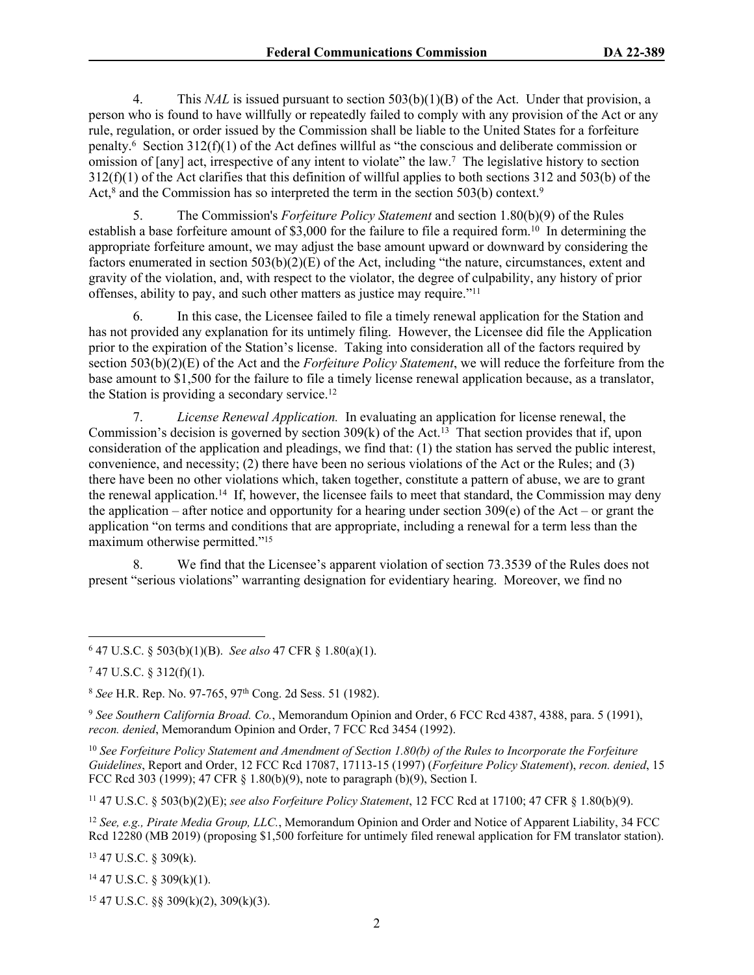4. This *NAL* is issued pursuant to section 503(b)(1)(B) of the Act. Under that provision, a person who is found to have willfully or repeatedly failed to comply with any provision of the Act or any rule, regulation, or order issued by the Commission shall be liable to the United States for a forfeiture penalty.<sup>6</sup> Section 312(f)(1) of the Act defines willful as "the conscious and deliberate commission or omission of [any] act, irrespective of any intent to violate" the law.<sup>7</sup> The legislative history to section 312(f)(1) of the Act clarifies that this definition of willful applies to both sections 312 and 503(b) of the Act,<sup>8</sup> and the Commission has so interpreted the term in the section 503(b) context.<sup>9</sup>

5. The Commission's *Forfeiture Policy Statement* and section 1.80(b)(9) of the Rules establish a base forfeiture amount of \$3,000 for the failure to file a required form.<sup>10</sup> In determining the appropriate forfeiture amount, we may adjust the base amount upward or downward by considering the factors enumerated in section  $503(b)(2)(E)$  of the Act, including "the nature, circumstances, extent and gravity of the violation, and, with respect to the violator, the degree of culpability, any history of prior offenses, ability to pay, and such other matters as justice may require."<sup>11</sup>

6. In this case, the Licensee failed to file a timely renewal application for the Station and has not provided any explanation for its untimely filing. However, the Licensee did file the Application prior to the expiration of the Station's license. Taking into consideration all of the factors required by section 503(b)(2)(E) of the Act and the *Forfeiture Policy Statement*, we will reduce the forfeiture from the base amount to \$1,500 for the failure to file a timely license renewal application because, as a translator, the Station is providing a secondary service.<sup>12</sup>

7. *License Renewal Application.* In evaluating an application for license renewal, the Commission's decision is governed by section  $309(k)$  of the Act.<sup>13</sup> That section provides that if, upon consideration of the application and pleadings, we find that: (1) the station has served the public interest, convenience, and necessity; (2) there have been no serious violations of the Act or the Rules; and (3) there have been no other violations which, taken together, constitute a pattern of abuse, we are to grant the renewal application.<sup>14</sup> If, however, the licensee fails to meet that standard, the Commission may deny the application – after notice and opportunity for a hearing under section  $309(e)$  of the Act – or grant the application "on terms and conditions that are appropriate, including a renewal for a term less than the maximum otherwise permitted."<sup>15</sup>

8. We find that the Licensee's apparent violation of section 73.3539 of the Rules does not present "serious violations" warranting designation for evidentiary hearing. Moreover, we find no

9  *See Southern California Broad. Co.*, Memorandum Opinion and Order, 6 FCC Rcd 4387, 4388, para. 5 (1991), *recon. denied*, Memorandum Opinion and Order, 7 FCC Rcd 3454 (1992).

<sup>10</sup> *See Forfeiture Policy Statement and Amendment of Section 1.80(b) of the Rules to Incorporate the Forfeiture Guidelines*, Report and Order, 12 FCC Rcd 17087, 17113-15 (1997) (*Forfeiture Policy Statement*), *recon. denied*, 15 FCC Rcd 303 (1999); 47 CFR § 1.80(b)(9), note to paragraph (b)(9), Section I.

<sup>11</sup> 47 U.S.C. § 503(b)(2)(E); *see also Forfeiture Policy Statement*, 12 FCC Rcd at 17100; 47 CFR § 1.80(b)(9).

<sup>12</sup> *See, e.g., Pirate Media Group, LLC.*, Memorandum Opinion and Order and Notice of Apparent Liability, 34 FCC Rcd 12280 (MB 2019) (proposing \$1,500 forfeiture for untimely filed renewal application for FM translator station).

<sup>13</sup> 47 U.S.C. § 309(k).

<sup>14</sup> 47 U.S.C. § 309(k)(1).

 $15$  47 U.S.C. §§ 309(k)(2), 309(k)(3).

<sup>6</sup> 47 U.S.C. § 503(b)(1)(B). *See also* 47 CFR § 1.80(a)(1).

 $747$  U.S.C. § 312(f)(1).

<sup>8</sup>  *See* H.R. Rep. No. 97-765, 97th Cong. 2d Sess. 51 (1982).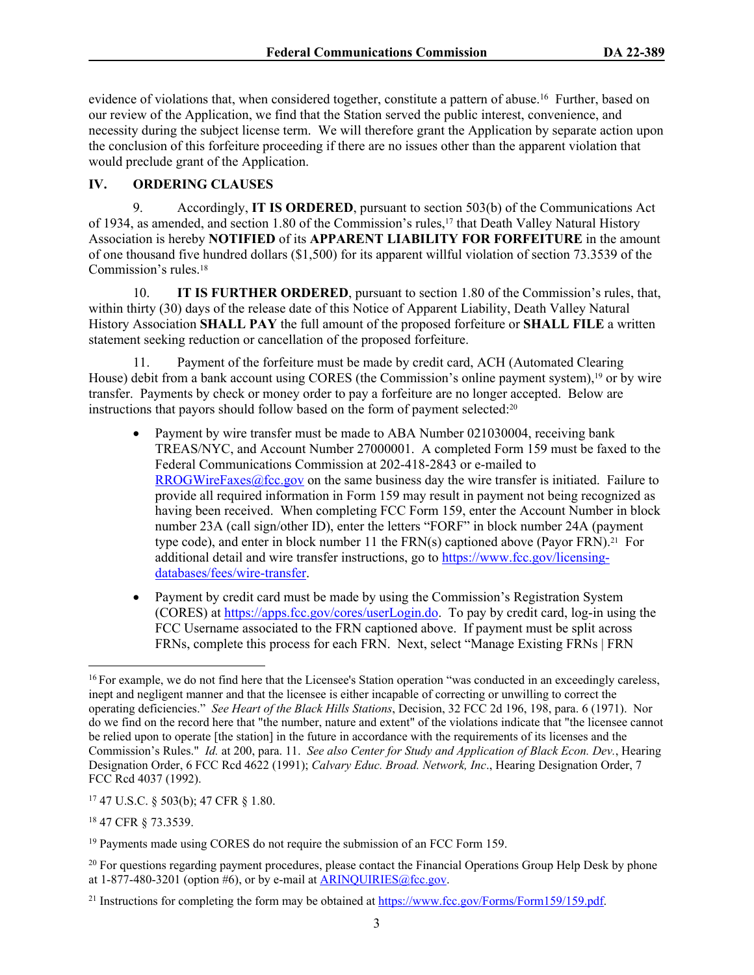evidence of violations that, when considered together, constitute a pattern of abuse.<sup>16</sup> Further, based on our review of the Application, we find that the Station served the public interest, convenience, and necessity during the subject license term. We will therefore grant the Application by separate action upon the conclusion of this forfeiture proceeding if there are no issues other than the apparent violation that would preclude grant of the Application.

## **IV. ORDERING CLAUSES**

9. Accordingly, **IT IS ORDERED**, pursuant to section 503(b) of the Communications Act of 1934, as amended, and section 1.80 of the Commission's rules,17 that Death Valley Natural History Association is hereby **NOTIFIED** of its **APPARENT LIABILITY FOR FORFEITURE** in the amount of one thousand five hundred dollars (\$1,500) for its apparent willful violation of section 73.3539 of the Commission's rules.<sup>18</sup>

10. **IT IS FURTHER ORDERED**, pursuant to section 1.80 of the Commission's rules, that, within thirty (30) days of the release date of this Notice of Apparent Liability, Death Valley Natural History Association **SHALL PAY** the full amount of the proposed forfeiture or **SHALL FILE** a written statement seeking reduction or cancellation of the proposed forfeiture.

11. Payment of the forfeiture must be made by credit card, ACH (Automated Clearing House) debit from a bank account using CORES (the Commission's online payment system),<sup>19</sup> or by wire transfer. Payments by check or money order to pay a forfeiture are no longer accepted. Below are instructions that payors should follow based on the form of payment selected:<sup>20</sup>

- Payment by wire transfer must be made to ABA Number 021030004, receiving bank TREAS/NYC, and Account Number 27000001. A completed Form 159 must be faxed to the Federal Communications Commission at 202-418-2843 or e-mailed to [RROGWireFaxes@fcc.gov](mailto:RROGWireFaxes@fcc.gov) on the same business day the wire transfer is initiated. Failure to provide all required information in Form 159 may result in payment not being recognized as having been received. When completing FCC Form 159, enter the Account Number in block number 23A (call sign/other ID), enter the letters "FORF" in block number 24A (payment type code), and enter in block number 11 the  $FRN(s)$  captioned above (Payor  $FRN$ ).<sup>21</sup> For additional detail and wire transfer instructions, go to [https://www.fcc.gov/licensing](https://www.fcc.gov/licensing-databases/fees/wire-transfer)[databases/fees/wire-transfer.](https://www.fcc.gov/licensing-databases/fees/wire-transfer)
- Payment by credit card must be made by using the Commission's Registration System (CORES) at<https://apps.fcc.gov/cores/userLogin.do>. To pay by credit card, log-in using the FCC Username associated to the FRN captioned above. If payment must be split across FRNs, complete this process for each FRN. Next, select "Manage Existing FRNs | FRN

<sup>17</sup> 47 U.S.C. § 503(b); 47 CFR § 1.80.

<sup>18</sup> 47 CFR § 73.3539.

<sup>&</sup>lt;sup>16</sup> For example, we do not find here that the Licensee's Station operation "was conducted in an exceedingly careless, inept and negligent manner and that the licensee is either incapable of correcting or unwilling to correct the operating deficiencies." *See Heart of the Black Hills Stations*, Decision, 32 FCC 2d 196, 198, para. 6 (1971). Nor do we find on the record here that "the number, nature and extent" of the violations indicate that "the licensee cannot be relied upon to operate [the station] in the future in accordance with the requirements of its licenses and the Commission's Rules." *Id.* at 200, para. 11. *See also Center for Study and Application of Black Econ. Dev.*, Hearing Designation Order, 6 FCC Rcd 4622 (1991); *Calvary Educ. Broad. Network, Inc*., Hearing Designation Order, 7 FCC Rcd 4037 (1992).

<sup>&</sup>lt;sup>19</sup> Payments made using CORES do not require the submission of an FCC Form 159.

<sup>&</sup>lt;sup>20</sup> For questions regarding payment procedures, please contact the Financial Operations Group Help Desk by phone at  $1-877-480-3201$  (option #6), or by e-mail at  $ARINQUIRIES@$ fcc.gov.

<sup>&</sup>lt;sup>21</sup> Instructions for completing the form may be obtained at<https://www.fcc.gov/Forms/Form159/159.pdf>.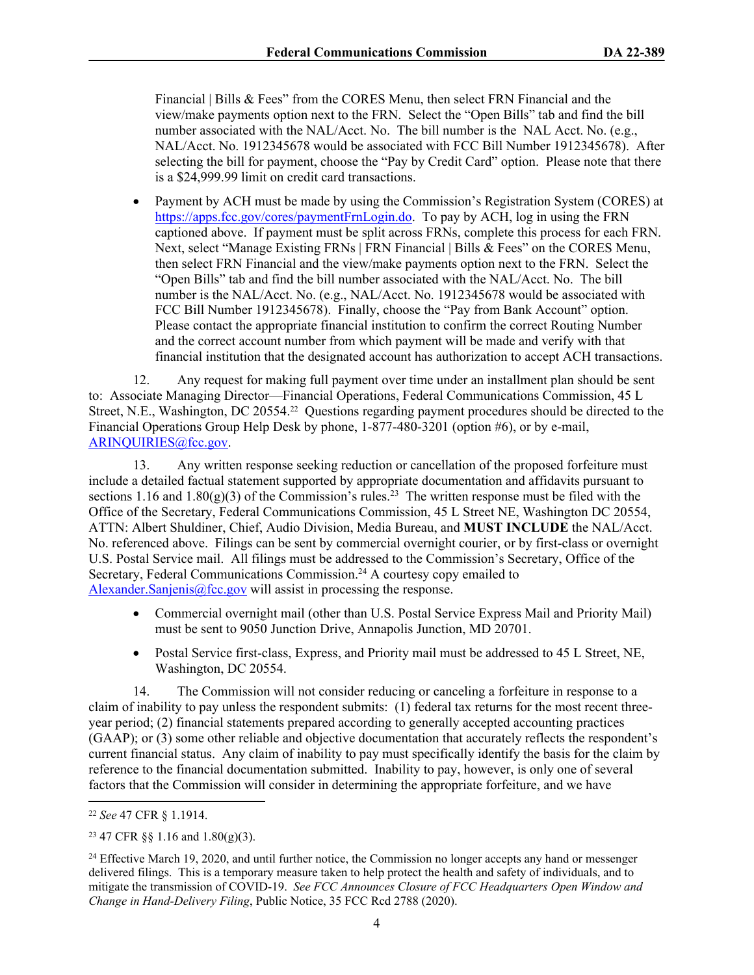Financial | Bills & Fees" from the CORES Menu, then select FRN Financial and the view/make payments option next to the FRN. Select the "Open Bills" tab and find the bill number associated with the NAL/Acct. No. The bill number is the NAL Acct. No. (e.g., NAL/Acct. No. 1912345678 would be associated with FCC Bill Number 1912345678). After selecting the bill for payment, choose the "Pay by Credit Card" option. Please note that there is a \$24,999.99 limit on credit card transactions.

• Payment by ACH must be made by using the Commission's Registration System (CORES) at [https://apps.fcc.gov/cores/paymentFrnLogin.do.](https://apps.fcc.gov/cores/paymentFrnLogin.do) To pay by ACH, log in using the FRN captioned above. If payment must be split across FRNs, complete this process for each FRN. Next, select "Manage Existing FRNs | FRN Financial | Bills & Fees" on the CORES Menu, then select FRN Financial and the view/make payments option next to the FRN. Select the "Open Bills" tab and find the bill number associated with the NAL/Acct. No. The bill number is the NAL/Acct. No. (e.g., NAL/Acct. No. 1912345678 would be associated with FCC Bill Number 1912345678). Finally, choose the "Pay from Bank Account" option. Please contact the appropriate financial institution to confirm the correct Routing Number and the correct account number from which payment will be made and verify with that financial institution that the designated account has authorization to accept ACH transactions.

12. Any request for making full payment over time under an installment plan should be sent to: Associate Managing Director—Financial Operations, Federal Communications Commission, 45 L Street, N.E., Washington, DC 20554.22 Questions regarding payment procedures should be directed to the Financial Operations Group Help Desk by phone, 1-877-480-3201 (option #6), or by e-mail, [ARINQUIRIES@fcc.gov](mailto:ARINQUIRIES@fcc.gov).

13. Any written response seeking reduction or cancellation of the proposed forfeiture must include a detailed factual statement supported by appropriate documentation and affidavits pursuant to sections 1.16 and 1.80(g)(3) of the Commission's rules.<sup>23</sup> The written response must be filed with the Office of the Secretary, Federal Communications Commission, 45 L Street NE, Washington DC 20554, ATTN: Albert Shuldiner, Chief, Audio Division, Media Bureau, and **MUST INCLUDE** the NAL/Acct. No. referenced above. Filings can be sent by commercial overnight courier, or by first-class or overnight U.S. Postal Service mail. All filings must be addressed to the Commission's Secretary, Office of the Secretary, Federal Communications Commission.<sup>24</sup> A courtesy copy emailed to Alexander. Sanjenis@fcc.gov will assist in processing the response.

- Commercial overnight mail (other than U.S. Postal Service Express Mail and Priority Mail) must be sent to 9050 Junction Drive, Annapolis Junction, MD 20701.
- Postal Service first-class, Express, and Priority mail must be addressed to 45 L Street, NE, Washington, DC 20554.

14. The Commission will not consider reducing or canceling a forfeiture in response to a claim of inability to pay unless the respondent submits: (1) federal tax returns for the most recent threeyear period; (2) financial statements prepared according to generally accepted accounting practices (GAAP); or (3) some other reliable and objective documentation that accurately reflects the respondent's current financial status. Any claim of inability to pay must specifically identify the basis for the claim by reference to the financial documentation submitted. Inability to pay, however, is only one of several factors that the Commission will consider in determining the appropriate forfeiture, and we have

<sup>22</sup> *See* 47 CFR § 1.1914.

<sup>23</sup> 47 CFR §§ 1.16 and 1.80(g)(3).

<sup>&</sup>lt;sup>24</sup> Effective March 19, 2020, and until further notice, the Commission no longer accepts any hand or messenger delivered filings. This is a temporary measure taken to help protect the health and safety of individuals, and to mitigate the transmission of COVID-19. *See FCC Announces Closure of FCC Headquarters Open Window and Change in Hand-Delivery Filing*, Public Notice, 35 FCC Rcd 2788 (2020).